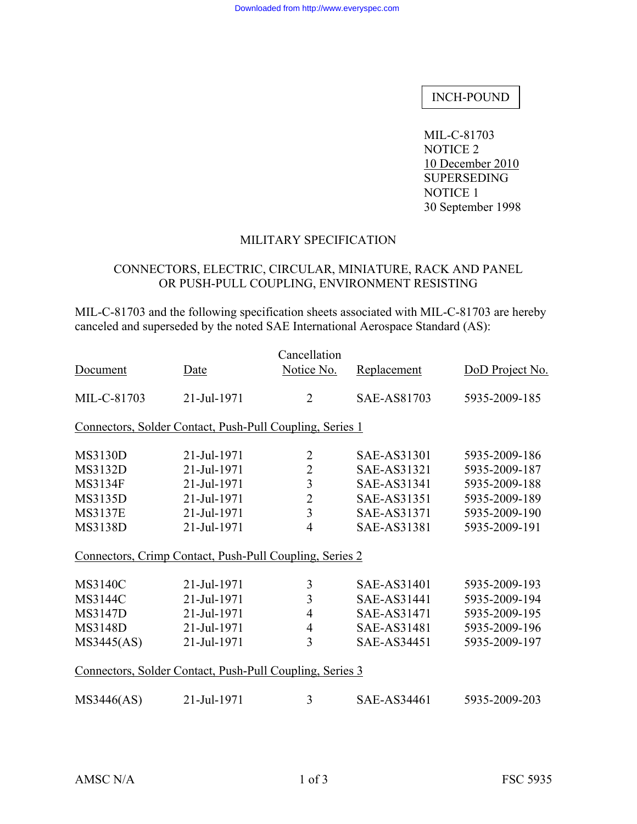# INCH-POUND

MIL-C-81703 NOTICE 2 10 December 2010 SUPERSEDING NOTICE 1 30 September 1998

## MILITARY SPECIFICATION

# CONNECTORS, ELECTRIC, CIRCULAR, MINIATURE, RACK AND PANEL OR PUSH-PULL COUPLING, ENVIRONMENT RESISTING

MIL-C-81703 and the following specification sheets associated with MIL-C-81703 are hereby canceled and superseded by the noted SAE International Aerospace Standard (AS):

| Document                                                 | Date        | Cancellation<br>Notice No. | Replacement        | DoD Project No. |  |  |  |
|----------------------------------------------------------|-------------|----------------------------|--------------------|-----------------|--|--|--|
|                                                          |             |                            |                    |                 |  |  |  |
| MIL-C-81703                                              | 21-Jul-1971 | $\overline{2}$             | SAE-AS81703        | 5935-2009-185   |  |  |  |
| Connectors, Solder Contact, Push-Pull Coupling, Series 1 |             |                            |                    |                 |  |  |  |
| <b>MS3130D</b>                                           | 21-Jul-1971 | $\overline{2}$             | SAE-AS31301        | 5935-2009-186   |  |  |  |
| <b>MS3132D</b>                                           | 21-Jul-1971 | $\overline{2}$             | SAE-AS31321        | 5935-2009-187   |  |  |  |
| <b>MS3134F</b>                                           | 21-Jul-1971 | $\overline{3}$             | SAE-AS31341        | 5935-2009-188   |  |  |  |
| <b>MS3135D</b>                                           | 21-Jul-1971 | $\overline{2}$             | SAE-AS31351        | 5935-2009-189   |  |  |  |
| <b>MS3137E</b>                                           | 21-Jul-1971 | $\overline{3}$             | SAE-AS31371        | 5935-2009-190   |  |  |  |
| <b>MS3138D</b>                                           | 21-Jul-1971 | $\overline{4}$             | <b>SAE-AS31381</b> | 5935-2009-191   |  |  |  |
| Connectors, Crimp Contact, Push-Pull Coupling, Series 2  |             |                            |                    |                 |  |  |  |
| <b>MS3140C</b>                                           | 21-Jul-1971 | $\mathfrak{Z}$             | SAE-AS31401        | 5935-2009-193   |  |  |  |
| <b>MS3144C</b>                                           | 21-Jul-1971 | $\overline{3}$             | SAE-AS31441        | 5935-2009-194   |  |  |  |
| <b>MS3147D</b>                                           | 21-Jul-1971 | $\overline{4}$             | SAE-AS31471        | 5935-2009-195   |  |  |  |
| <b>MS3148D</b>                                           | 21-Jul-1971 | 4                          | <b>SAE-AS31481</b> | 5935-2009-196   |  |  |  |
| MS3445(AS)                                               | 21-Jul-1971 | 3                          | SAE-AS34451        | 5935-2009-197   |  |  |  |
| Connectors, Solder Contact, Push-Pull Coupling, Series 3 |             |                            |                    |                 |  |  |  |
| MS3446(AS)                                               | 21-Jul-1971 | 3                          | SAE-AS34461        | 5935-2009-203   |  |  |  |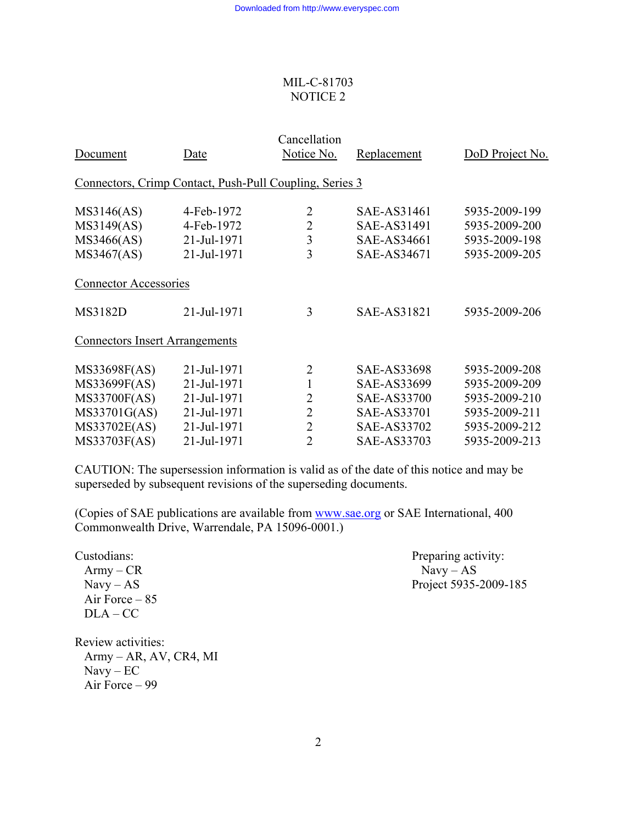## MIL-C-81703 NOTICE 2

| Document                                                | Date        | Cancellation<br>Notice No. | Replacement        | DoD Project No. |  |  |  |
|---------------------------------------------------------|-------------|----------------------------|--------------------|-----------------|--|--|--|
|                                                         |             |                            |                    |                 |  |  |  |
| Connectors, Crimp Contact, Push-Pull Coupling, Series 3 |             |                            |                    |                 |  |  |  |
| MS3146(AS)                                              | 4-Feb-1972  | $\overline{2}$             | SAE-AS31461        | 5935-2009-199   |  |  |  |
| MS3149(AS)                                              | 4-Feb-1972  | $\overline{2}$             | SAE-AS31491        | 5935-2009-200   |  |  |  |
| MS3466(AS)                                              | 21-Jul-1971 | 3                          | SAE-AS34661        | 5935-2009-198   |  |  |  |
| MS3467(AS)                                              | 21-Jul-1971 | $\overline{3}$             | SAE-AS34671        | 5935-2009-205   |  |  |  |
| <b>Connector Accessories</b>                            |             |                            |                    |                 |  |  |  |
| <b>MS3182D</b>                                          | 21-Jul-1971 | 3                          | SAE-AS31821        | 5935-2009-206   |  |  |  |
| <b>Connectors Insert Arrangements</b>                   |             |                            |                    |                 |  |  |  |
| MS33698F(AS)                                            | 21-Jul-1971 | $\overline{2}$             | <b>SAE-AS33698</b> | 5935-2009-208   |  |  |  |
| MS33699F(AS)                                            | 21-Jul-1971 | $\mathbf{1}$               | SAE-AS33699        | 5935-2009-209   |  |  |  |
| <b>MS33700F(AS)</b>                                     | 21-Jul-1971 | $\overline{2}$             | <b>SAE-AS33700</b> | 5935-2009-210   |  |  |  |
| MS33701G(AS)                                            | 21-Jul-1971 | $\overline{2}$             | SAE-AS33701        | 5935-2009-211   |  |  |  |
| MS33702E(AS)                                            | 21-Jul-1971 | $\overline{2}$             | SAE-AS33702        | 5935-2009-212   |  |  |  |
| MS33703F(AS)                                            | 21-Jul-1971 | $\overline{2}$             | <b>SAE-AS33703</b> | 5935-2009-213   |  |  |  |

CAUTION: The supersession information is valid as of the date of this notice and may be superseded by subsequent revisions of the superseding documents.

(Copies of SAE publications are available from www.sae.org or SAE International, 400 Commonwealth Drive, Warrendale, PA 15096-0001.)

Army – CR<br>Navy – AS<br>Project 5935-Air Force  $-85$  $DLA - CC$ 

Custodians: Preparing activity: Project 5935-2009-185

Review activities: Army – AR, AV, CR4, MI  $N$ avy –  $EC$ Air Force – 99